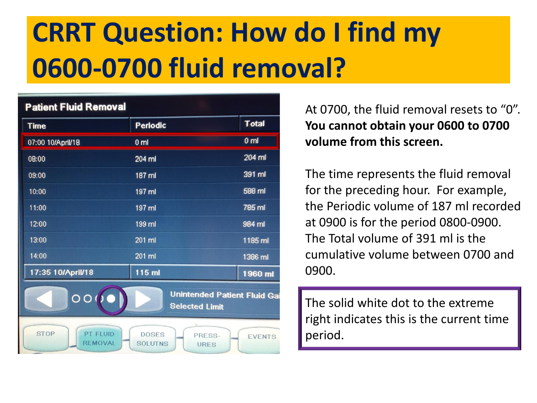### **Patient Fluid Removal**

| <b>Time</b>                                                                                                                  | <b>Periodic</b> | <b>Total</b>   |  |
|------------------------------------------------------------------------------------------------------------------------------|-----------------|----------------|--|
| 07:00 10/April/18                                                                                                            | 0 <sub>m</sub>  | 0 <sub>m</sub> |  |
| 08:00                                                                                                                        | 204 ml          | 204 ml         |  |
| 09:00                                                                                                                        | 187 ml          | 391 ml         |  |
| 10:00                                                                                                                        | 197 ml          | 588 ml         |  |
| 11:00                                                                                                                        | 197 ml          | 785 ml         |  |
| 12:00                                                                                                                        | 199 ml          | 984 ml         |  |
| 13:00                                                                                                                        | 201 ml          | 1185 ml        |  |
| 14:00                                                                                                                        | 201 ml          | 1386 ml        |  |
| 17:35 10/April/18                                                                                                            | 115 ml          | 1960 ml        |  |
| Unintended Patient Fluid Gai<br>$\overline{O}O$<br><b>Selected Limit</b>                                                     |                 |                |  |
| <b>STOP</b><br><b>PT FLUID</b><br><b>DOSES</b><br>PRESS-<br><b>EVENTS</b><br><b>REMOVAL</b><br><b>SOLUTNS</b><br><b>URES</b> |                 |                |  |

At 0700, the fluid removal resets to "0". **You cannot obtain your 0600 to 0700 volume from this screen.** 

The time represents the fluid removal for the preceding hour. For example, the Periodic volume of 187 ml recorded at 0900 is for the period 0800-0900. The Total volume of 391 ml is the cumulative volume between 0700 and 0900.

The solid white dot to the extreme right indicates this is the current time period.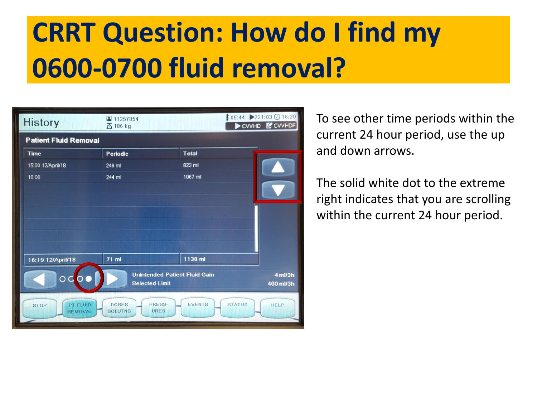| <b>History</b>                                                                                                                                               | ▲ 11257854<br><b>西 186 kg</b> |              | $105:44$ 221:03 0 16:20<br>CWHD COVHDF |
|--------------------------------------------------------------------------------------------------------------------------------------------------------------|-------------------------------|--------------|----------------------------------------|
| <b>Patient Fluid Removal</b>                                                                                                                                 |                               |              |                                        |
| <b>Time</b>                                                                                                                                                  | Periodic                      | <b>Total</b> |                                        |
| 15:00 12/April/18                                                                                                                                            | 246 ml                        | 823 ml       |                                        |
| 16:00                                                                                                                                                        | 244 ml                        | 1067 ml      |                                        |
|                                                                                                                                                              |                               |              |                                        |
| 16:19 12/April/18                                                                                                                                            | 71 ml                         | 1138 ml      |                                        |
| <b>Unintended Patient Fluid Gain</b><br>4 ml/3h<br>∩<br><b>Selected Limit</b><br>400 ml/3h                                                                   |                               |              |                                        |
| PRESS-<br><b>EVENTS</b><br><b>DOSES</b><br><b>STATUS</b><br><b>PT FLUID</b><br><b>HELP</b><br><b>STOP</b><br><b>URES</b><br><b>SOLUTNS</b><br><b>REMOVAL</b> |                               |              |                                        |

 To see other time periods within the current 24 hour period, use the up and down arrows.

The solid white dot to the extreme right indicates that you are scrolling within the current 24 hour period.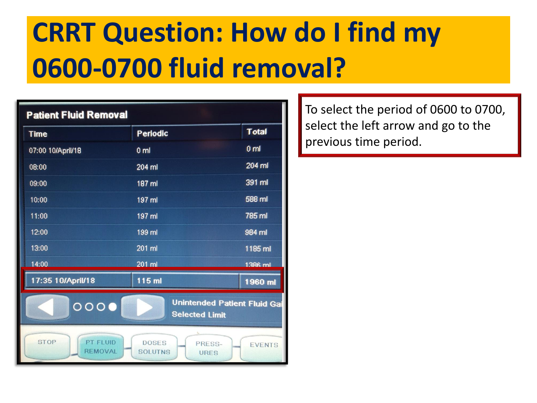#### **Patient Fluid Removal**

| <b>Time</b>                                                                                                                  | <b>Periodic</b> | <b>Total</b>    |  |
|------------------------------------------------------------------------------------------------------------------------------|-----------------|-----------------|--|
| 07:00 10/April/18                                                                                                            | 0 <sub>m1</sub> | 0 <sub>m1</sub> |  |
| 08:00                                                                                                                        | 204 ml          | 204 ml          |  |
| 09:00                                                                                                                        | 187 ml          | 391 ml          |  |
| 10:00                                                                                                                        | 197 ml          | 588 ml          |  |
| 11:00                                                                                                                        | 197 ml          | 785 ml          |  |
| 12:00                                                                                                                        | 199 ml          | 984 ml          |  |
| 13:00                                                                                                                        | 201 ml          | 1185 ml         |  |
| 14:00                                                                                                                        | 201 ml          | 1386 ml         |  |
| 17:35 10/April/18                                                                                                            | 115 ml          | 1960 ml         |  |
| <b>Unintended Patient Fluid Gai</b><br>0000<br><b>Selected Limit</b>                                                         |                 |                 |  |
| <b>STOP</b><br><b>PT FLUID</b><br><b>DOSES</b><br>PRESS-<br><b>EVENTS</b><br><b>REMOVAL</b><br><b>SOLUTNS</b><br><b>URES</b> |                 |                 |  |

To select the period of 0600 to 0700, select the left arrow and go to the previous time period.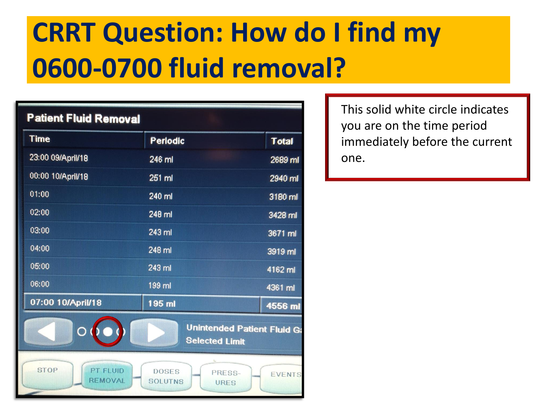| <b>Patient Fluid Removal</b>                     |                                                  |                                    |
|--------------------------------------------------|--------------------------------------------------|------------------------------------|
| <b>Time</b>                                      | <b>Periodic</b>                                  | <b>Total</b>                       |
| 23:00 09/April/18                                | 246 ml                                           | 2689 ml                            |
| 00:00 10/April/18                                | 251 ml                                           | 2940 ml                            |
| 01:00                                            | 240 ml                                           | 3180 ml                            |
| 02:00                                            | 248 ml                                           | 3428 ml                            |
| 03:00                                            | 243 ml                                           | 3671 ml                            |
| 04:00                                            | 248 ml                                           | 3919 ml                            |
| 05:00                                            | 243 ml                                           | 4162 ml                            |
| 06:00                                            | 199 ml                                           | 4361 ml                            |
| 07:00 10/April/18                                | 195 ml                                           | 4556 ml                            |
|                                                  | <b>Selected Limit</b>                            | <b>Unintended Patient Fluid Ga</b> |
| <b>STOP</b><br><b>PT FLUID</b><br><b>REMOVAL</b> | <b>DOSES</b><br>PRESS-<br><b>SOLUTNS</b><br>URES | <b>EVENTS</b>                      |

This solid white circle indicates you are on the time period immediately before the current one.